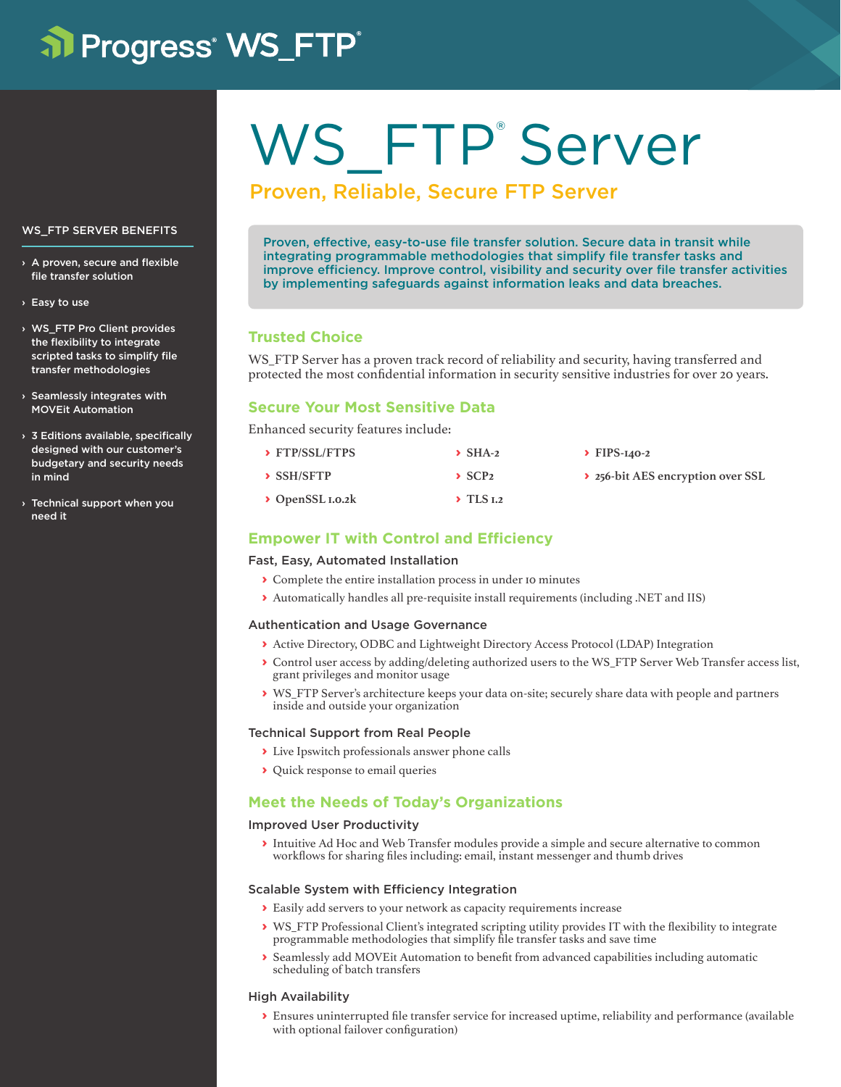# al Progress<sup>®</sup> WS\_FTP<sup>®</sup>

# WS\_FTP<sup>®</sup>Server

# Proven, Reliable, Secure FTP Server

Proven, effective, easy-to-use file transfer solution. Secure data in transit while integrating programmable methodologies that simplify file transfer tasks and improve efficiency. Improve control, visibility and security over file transfer activities by implementing safeguards against information leaks and data breaches.

# **Trusted Choice**

WS FTP Server has a proven track record of reliability and security, having transferred and protected the most confidential information in security sensitive industries for over 20 years.

# **Secure Your Most Sensitive Data**

Enhanced security features include:

| > FTP/SSL/FTPS               | $\sum$ SHA-2             | $\triangleright$ FIPS-140-2       |
|------------------------------|--------------------------|-----------------------------------|
| $\rightarrow$ SSH/SFTP       | $\sum$ SCP <sub>2</sub>  | ▶ 256-bit AES encryption over SSL |
| $\rightarrow$ OpenSSL 1.0.2k | $\triangleright$ TLS 1.2 |                                   |

# **Empower IT with Control and Efficiency**

# Fast, Easy, Automated Installation

- **›** Complete the entire installation process in under 10 minutes
- **›** Automatically handles all pre-requisite install requirements (including .NET and IIS)

#### Authentication and Usage Governance

- **›** Active Directory, ODBC and Lightweight Directory Access Protocol (LDAP) Integration
- **›** Control user access by adding/deleting authorized users to the WS\_FTP Server Web Transfer access list, grant privileges and monitor usage
- **›** WS\_FTP Server's architecture keeps your data on-site; securely share data with people and partners inside and outside your organization

# Technical Support from Real People

- **›** Live Ipswitch professionals answer phone calls
- **›** Quick response to email queries

# **Meet the Needs of Today's Organizations**

#### Improved User Productivity

**›** Intuitive Ad Hoc and Web Transfer modules provide a simple and secure alternative to common workflows for sharing files including: email, instant messenger and thumb drives

#### Scalable System with Efficiency Integration

- **›** Easily add servers to your network as capacity requirements increase
- **›** WS\_FTP Professional Client's integrated scripting utility provides IT with the flexibility to integrate programmable methodologies that simplify file transfer tasks and save time
- **›** Seamlessly add MOVEit Automation to benefit from advanced capabilities including automatic scheduling of batch transfers

#### High Availability

**›** Ensures uninterrupted file transfer service for increased uptime, reliability and performance (available with optional failover configuration)

## WS\_FTP SERVER BENEFITS

- › A proven, secure and flexible file transfer solution
- › Easy to use
- › WS\_FTP Pro Client provides the flexibility to integrate scripted tasks to simplify file transfer methodologies
- › Seamlessly integrates with MOVEit Automation
- $\times$  3 Editions available, specifically designed with our customer's budgetary and security needs in mind
- › Technical support when you need it